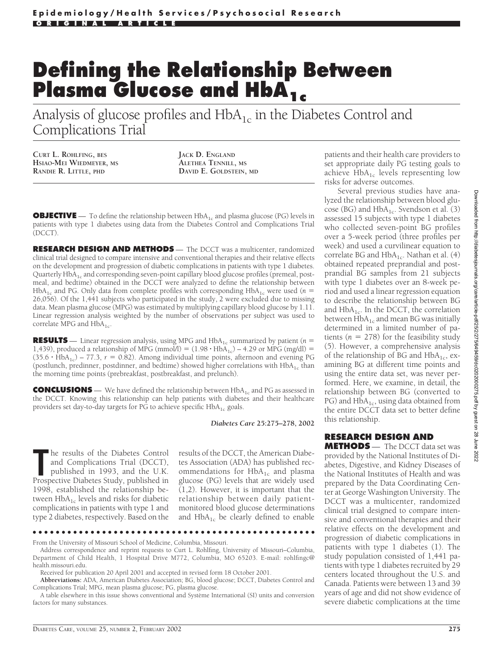## **Defining the Relationship Between Plasma Glucose and HbA<sub>1c</sub>**

Analysis of glucose profiles and  $HbA_{1c}$  in the Diabetes Control and Complications Trial

**CURT L. ROHLFING, BES HSIAO-MEI WIEDMEYER, MS RANDIE R. LITTLE, PHD**

**JACK D. ENGLAND ALETHEA TENNILL, MS DAVID E. GOLDSTEIN, MD**

**OBJECTIVE** — To define the relationship between HbA<sub>1c</sub> and plasma glucose (PG) levels in patients with type 1 diabetes using data from the Diabetes Control and Complications Trial (DCCT).

**RESEARCH DESIGN AND METHODS** — The DCCT was a multicenter, randomized clinical trial designed to compare intensive and conventional therapies and their relative effects on the development and progression of diabetic complications in patients with type 1 diabetes. Quarterly  $HbA_{1c}$  and corresponding seven-point capillary blood glucose profiles (premeal, postmeal, and bedtime) obtained in the DCCT were analyzed to define the relationship between HbA<sub>1c</sub> and PG. Only data from complete profiles with corresponding HbA<sub>1c</sub> were used ( $n =$ 26,056). Of the 1,441 subjects who participated in the study, 2 were excluded due to missing data. Mean plasma glucose (MPG) was estimated by multiplying capillary blood glucose by 1.11. Linear regression analysis weighted by the number of observations per subject was used to correlate MPG and  $HbA_{1c}$ .

**RESULTS** — Linear regression analysis, using MPG and  $HbA_1$ <sub>c</sub> summarized by patient (*n* = 1,439), produced a relationship of MPG (mmol/l) =  $(1.98 \cdot HbA_{1c})$  – 4.29 or MPG (mg/dl) =  $(35.6 \cdot HbA_{1c})$  – 77.3,  $r = 0.82$ ). Among individual time points, afternoon and evening PG (postlunch, predinner, postdinner, and bedtime) showed higher correlations with  $HbA_{1c}$  than the morning time points (prebreakfast, postbreakfast, and prelunch).

**CONCLUSIONS** — We have defined the relationship between HbA<sub>1c</sub> and PG as assessed in the DCCT. Knowing this relationship can help patients with diabetes and their healthcare providers set day-to-day targets for PG to achieve specific  $HbA_{1c}$  goals.

*Diabetes Care* **25:275–278, 2002**

**The results of the Diabetes Control**<br>
and Complications Trial (DCCT),<br>
published in 1993, and the U.K.<br>
Prospective Diabetes Study, published in he results of the Diabetes Control and Complications Trial (DCCT), published in 1993, and the U.K. 1998, established the relationship between  $HbA_{1c}$  levels and risks for diabetic complications in patients with type 1 and type 2 diabetes, respectively. Based on the

results of the DCCT, the American Diabetes Association (ADA) has published recommendations for  $HbA_{1c}$  and plasma glucose (PG) levels that are widely used (1,2). However, it is important that the relationship between daily patientmonitored blood glucose determinations and  $HbA_{1c}$  be clearly defined to enable

●●●●●●●●●●●●●●●●●●●●●●●●●●●●●●●●●●●●●●●●●●●●●●●●●

**Abbreviations:** ADA, American Diabetes Association; BG, blood glucose; DCCT, Diabetes Control and Complications Trial; MPG, mean plasma glucose; PG, plasma glucose.

patients and their health care providers to set appropriate daily PG testing goals to achieve  $HbA_{1c}$  levels representing low risks for adverse outcomes.

Several previous studies have analyzed the relationship between blood glucose (BG) and  $HbA_{1c}$ . Svendson et al. (3) assessed 15 subjects with type 1 diabetes who collected seven-point BG profiles over a 5-week period (three profiles per week) and used a curvilinear equation to correlate BG and  $HbA_{1c}$ . Nathan et al. (4) obtained repeated preprandial and postprandial BG samples from 21 subjects with type 1 diabetes over an 8-week period and used a linear regression equation to describe the relationship between BG and  $HbA_{1c}$ . In the DCCT, the correlation between  $HbA_{1c}$  and mean BG was initially determined in a limited number of patients ( $n = 278$ ) for the feasibility study (5). However, a comprehensive analysis of the relationship of BG and  $HbA_{1c}$ , examining BG at different time points and using the entire data set, was never performed. Here, we examine, in detail, the relationship between BG (converted to PG) and  $HbA_{1c}$ , using data obtained from the entire DCCT data set to better define this relationship.

## **RESEARCH DESIGN AND**

**METHODS** — The DCCT data set was provided by the National Institutes of Diabetes, Digestive, and Kidney Diseases of the National Institutes of Health and was prepared by the Data Coordinating Center at George Washington University. The DCCT was a multicenter, randomized clinical trial designed to compare intensive and conventional therapies and their relative effects on the development and progression of diabetic complications in patients with type 1 diabetes (1). The study population consisted of 1,441 patients with type 1 diabetes recruited by 29 centers located throughout the U.S. and Canada. Patients were between 13 and 39 years of age and did not show evidence of severe diabetic complications at the time

From the University of Missouri School of Medicine, Columbia, Missouri.

Address correspondence and reprint requests to Curt L. Rohlfing, University of Missouri–Columbia, Department of Child Health, 1 Hospital Drive M772, Columbia, MO 65203. E-mail: rohlfingc@ health.missouri.edu.

Received for publication 20 April 2001 and accepted in revised form 18 October 2001.

A table elsewhere in this issue shows conventional and Système International (SI) units and conversion factors for many substances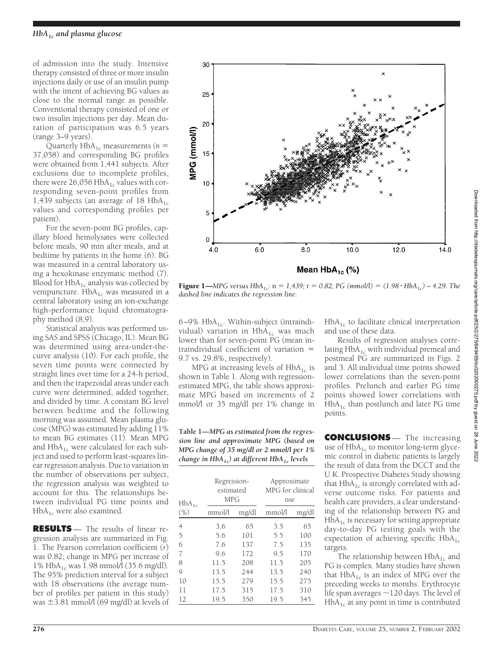of admission into the study. Intensive therapy consisted of three or more insulin injections daily or use of an insulin pump with the intent of achieving BG values as close to the normal range as possible. Conventional therapy consisted of one or two insulin injections per day. Mean duration of participation was 6.5 years (range 3–9 years).

Quarterly  $HbA_{1c}$  measurements ( $n =$ 37,058) and corresponding BG profiles were obtained from 1,441 subjects. After exclusions due to incomplete profiles, there were  $26,056$  HbA<sub>1c</sub> values with corresponding seven-point profiles from 1,439 subjects (an average of 18  $HbA_{1c}$ values and corresponding profiles per patient).

For the seven-point BG profiles, capillary blood hemolysates were collected before meals, 90 min after meals, and at bedtime by patients in the home (6). BG was measured in a central laboratory using a hexokinase enzymatic method (7). Blood for  $HbA_{1c}$  analysis was collected by venipuncture.  $HbA_{1c}$  was measured in a central laboratory using an ion-exchange high-performance liquid chromatography method (8,9).

Statistical analysis was performed using SAS and SPSS (Chicago, IL). Mean BG was determined using area-under-thecurve analysis (10). For each profile, the seven time points were connected by straight lines over time for a 24-h period, and then the trapezoidal areas under each curve were determined, added together, and divided by time. A constant BG level between bedtime and the following morning was assumed. Mean plasma glucose (MPG) was estimated by adding 11% to mean BG estimates (11). Mean MPG and  $HbA_{1c}$  were calculated for each subject and used to perform least-squares linear regression analysis. Due to variation in the number of observations per subject, the regression analysis was weighted to account for this. The relationships between individual PG time points and  $HbA_{1c}$  were also examined.

**RESULTS** — The results of linear regression analysis are summarized in Fig. 1. The Pearson correlation coefficient (*r*) was 0.82; change in MPG per increase of 1% HbA1c was 1.98 mmol/l (35.6 mg/dl). The 95% prediction interval for a subject with 18 observations (the average number of profiles per patient in this study) was  $\pm$ 3.81 mmol/l (69 mg/dl) at levels of



**Figure 1—***MPG versus HbA<sub>1c</sub>:*  $n = 1,439$ ;  $r = 0.82$ ; *PG* (*mmol/l*) =  $(1.98 \cdot HbA_{1c}) - 4.29$ . The *dashed line indicates the regression line.*

6–9%  $HbA_{1c}$ . Within-subject (intraindividual) variation in  $HbA_{1c}$  was much lower than for seven-point PG (mean intraindividual coefficient of variation 9.7 vs. 29.8%, respectively).

MPG at increasing levels of  $HbA_{1c}$  is shown in Table 1. Along with regressionestimated MPG, the table shows approximate MPG based on increments of 2 mmol/l or 35 mg/dl per 1% change in

**Table 1—***MPG as estimated from the regression line and approximate MPG (based on MPG change of 35 mg/dl or 2 mmol/l per 1% change in HbA1c) at different HbA1c levels*

| $HbA_{1c}$<br>$(\% )$ | Regression-<br>estimated<br><b>MPG</b> |       | Approximate<br>MPG for clinical<br>use |       |
|-----------------------|----------------------------------------|-------|----------------------------------------|-------|
|                       | mmol/l                                 | mg/dl | mmol/l                                 | mg/dl |
| 4                     | 3.6                                    | 65    | 3.5                                    | 65    |
| 5                     | 5.6                                    | 101   | 5.5                                    | 100   |
| 6                     | 7.6                                    | 137   | 7.5                                    | 135   |
| 7                     | 9.6                                    | 172   | 9.5                                    | 170   |
| 8                     | 11.5                                   | 208   | 11.5                                   | 205   |
| 9                     | 13.5                                   | 244   | 13.5                                   | 240   |
| 10                    | 15.5                                   | 279   | 15.5                                   | 275   |
| 11                    | 17.5                                   | 315   | 17.5                                   | 310   |
| 12                    | 19.5                                   | 350   | 19.5                                   | 345   |

 $HbA_{1c}$  to facilitate clinical interpretation and use of these data.

Results of regression analyses correlating  $HbA_{1c}$  with individual premeal and postmeal PG are summarized in Figs. 2 and 3. All individual time points showed lower correlations than the seven-point profiles. Prelunch and earlier PG time points showed lower correlations with  $HbA_{1c}$  than postlunch and later PG time points.

**CONCLUSIONS** — The increasing use of  $HbA_{1c}$  to monitor long-term glycemic control in diabetic patients is largely the result of data from the DCCT and the U.K. Prospective Diabetes Study showing that  $HbA_{1c}$  is strongly correlated with adverse outcome risks. For patients and health care providers, a clear understanding of the relationship between PG and  $HbA<sub>1c</sub>$  is necessary for setting appropriate day-to-day PG testing goals with the expectation of achieving specific  $HbA_{1c}$ targets.

The relationship between  $HbA_{1c}$  and PG is complex. Many studies have shown that  $HbA_{1c}$  is an index of MPG over the preceding weeks to months. Erythrocyte life span averages  $\sim$  120 days. The level of  $HbA_{1c}$  at any point in time is contributed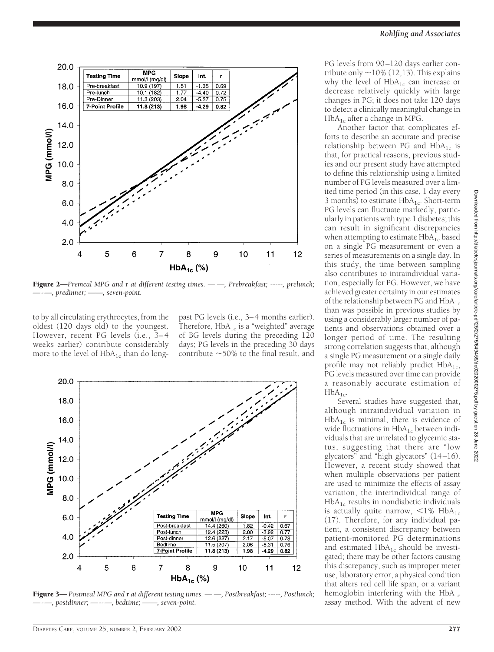

Figure 2—*Premeal MPG and* r *at different testing times. — —, Prebreakfast; -----, prelunch; —-—, predinner; ——, seven-point.*

to by all circulating erythrocytes, from the oldest (120 days old) to the youngest. However, recent PG levels (i.e., 3– 4 weeks earlier) contribute considerably more to the level of  $HbA_{1c}$  than do long-

past PG levels (i.e., 3–4 months earlier). Therefore,  $HbA_{1c}$  is a "weighted" average of BG levels during the preceding 120 days; PG levels in the preceding 30 days contribute  $\sim$  50% to the final result, and



Figure 3— *Postmeal MPG and* r *at different testing times. — —, Postbreakfast; -----, Postlunch; —-—, postdinner; —--—, bedtime; ——, seven-point.*

PG levels from 90–120 days earlier contribute only  $\sim$  10% (12,13). This explains why the level of  $HbA_{1c}$  can increase or decrease relatively quickly with large changes in PG; it does not take 120 days to detect a clinically meaningful change in  $HbA_{1c}$  after a change in MPG.

Another factor that complicates efforts to describe an accurate and precise relationship between PG and  $HbA_{1c}$  is that, for practical reasons, previous studies and our present study have attempted to define this relationship using a limited number of PG levels measured over a limited time period (in this case, 1 day every 3 months) to estimate  $HbA_{1c}$ . Short-term PG levels can fluctuate markedly, particularly in patients with type 1 diabetes; this can result in significant discrepancies when attempting to estimate  $HbA_{1c}$  based on a single PG measurement or even a series of measurements on a single day. In this study, the time between sampling also contributes to intraindividual variation, especially for PG. However, we have achieved greater certainty in our estimates of the relationship between PG and  $HbA_{1c}$ than was possible in previous studies by using a considerably larger number of patients and observations obtained over a longer period of time. The resulting strong correlation suggests that, although a single PG measurement or a single daily profile may not reliably predict  $HbA_{1c}$ , PG levels measured over time can provide a reasonably accurate estimation of  $HbA_{1c}$ .

Several studies have suggested that, although intraindividual variation in  $HbA_{1c}$  is minimal, there is evidence of wide fluctuations in  $HbA_{1c}$  between individuals that are unrelated to glycemic status, suggesting that there are "low glycators" and "high glycators" (14–16). However, a recent study showed that when multiple observations per patient are used to minimize the effects of assay variation, the interindividual range of  $HbA_{1c}$  results in nondiabetic individuals is actually quite narrow,  $\langle 1\% \text{ HbA}_{1c} \rangle$ (17). Therefore, for any individual patient, a consistent discrepancy between patient-monitored PG determinations and estimated  $HbA_{1c}$  should be investigated; there may be other factors causing this discrepancy, such as improper meter use, laboratory error, a physical condition that alters red cell life span, or a variant hemoglobin interfering with the  $HbA_{1c}$ assay method. With the advent of new